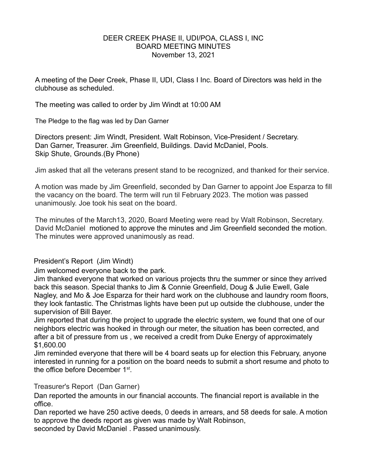### DEER CREEK PHASE II, UDI/POA, CLASS I, INC BOARD MEETING MINUTES November 13, 2021

A meeting of the Deer Creek, Phase II, UDI, Class I Inc. Board of Directors was held in the clubhouse as scheduled.

The meeting was called to order by Jim Windt at 10:00 AM

The Pledge to the flag was led by Dan Garner

Directors present: Jim Windt, President. Walt Robinson, Vice-President / Secretary. Dan Garner, Treasurer. Jim Greenfield, Buildings. David McDaniel, Pools. Skip Shute, Grounds.(By Phone)

Jim asked that all the veterans present stand to be recognized, and thanked for their service.

A motion was made by Jim Greenfield, seconded by Dan Garner to appoint Joe Esparza to fill the vacancy on the board. The term will run til February 2023. The motion was passed unanimously. Joe took his seat on the board.

The minutes of the March13, 2020, Board Meeting were read by Walt Robinson, Secretary. David McDaniel motioned to approve the minutes and Jim Greenfield seconded the motion. The minutes were approved unanimously as read.

# President's Report (Jim Windt)

Jim welcomed everyone back to the park.

Jim thanked everyone that worked on various projects thru the summer or since they arrived back this season. Special thanks to Jim & Connie Greenfield, Doug & Julie Ewell, Gale Nagley, and Mo & Joe Esparza for their hard work on the clubhouse and laundry room floors, they look fantastic. The Christmas lights have been put up outside the clubhouse, under the supervision of Bill Bayer.

Jim reported that during the project to upgrade the electric system, we found that one of our neighbors electric was hooked in through our meter, the situation has been corrected, and after a bit of pressure from us , we received a credit from Duke Energy of approximately \$1,600.00

Jim reminded everyone that there will be 4 board seats up for election this February, anyone interested in running for a position on the board needs to submit a short resume and photo to the office before December 1st.

#### Treasurer's Report (Dan Garner)

Dan reported the amounts in our financial accounts. The financial report is available in the office.

Dan reported we have 250 active deeds, 0 deeds in arrears, and 58 deeds for sale. A motion to approve the deeds report as given was made by Walt Robinson,

seconded by David McDaniel . Passed unanimously.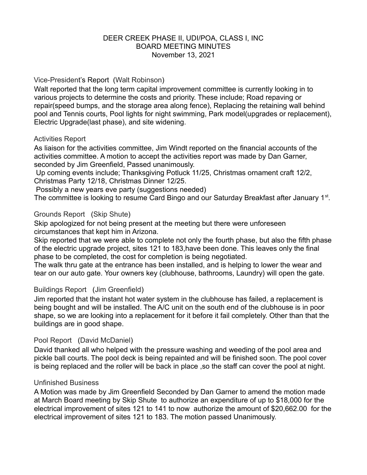### DEER CREEK PHASE II, UDI/POA, CLASS I, INC BOARD MEETING MINUTES November 13, 2021

### Vice-President's Report (Walt Robinson)

Walt reported that the long term capital improvement committee is currently looking in to various projects to determine the costs and priority. These include; Road repaving or repair(speed bumps, and the storage area along fence), Replacing the retaining wall behind pool and Tennis courts, Pool lights for night swimming, Park model(upgrades or replacement), Electric Upgrade(last phase), and site widening.

### Activities Report

As liaison for the activities committee, Jim Windt reported on the financial accounts of the activities committee. A motion to accept the activities report was made by Dan Garner, seconded by Jim Greenfield, Passed unanimously.

 Up coming events include; Thanksgiving Potluck 11/25, Christmas ornament craft 12/2, Christmas Party 12/18, Christmas Dinner 12/25.

Possibly a new years eve party (suggestions needed)

The committee is looking to resume Card Bingo and our Saturday Breakfast after January 1<sup>st</sup>.

# Grounds Report (Skip Shute)

Skip apologized for not being present at the meeting but there were unforeseen circumstances that kept him in Arizona.

Skip reported that we were able to complete not only the fourth phase, but also the fifth phase of the electric upgrade project, sites 121 to 183,have been done. This leaves only the final phase to be completed, the cost for completion is being negotiated.

The walk thru gate at the entrance has been installed, and is helping to lower the wear and tear on our auto gate. Your owners key (clubhouse, bathrooms, Laundry) will open the gate.

# Buildings Report (Jim Greenfield)

Jim reported that the instant hot water system in the clubhouse has failed, a replacement is being bought and will be installed. The A/C unit on the south end of the clubhouse is in poor shape, so we are looking into a replacement for it before it fail completely. Other than that the buildings are in good shape.

# Pool Report (David McDaniel)

David thanked all who helped with the pressure washing and weeding of the pool area and pickle ball courts. The pool deck is being repainted and will be finished soon. The pool cover is being replaced and the roller will be back in place ,so the staff can cover the pool at night.

#### Unfinished Business

A Motion was made by Jim Greenfield Seconded by Dan Garner to amend the motion made at March Board meeting by Skip Shute to authorize an expenditure of up to \$18,000 for the electrical improvement of sites 121 to 141 to now authorize the amount of \$20,662.00 for the electrical improvement of sites 121 to 183. The motion passed Unanimously.